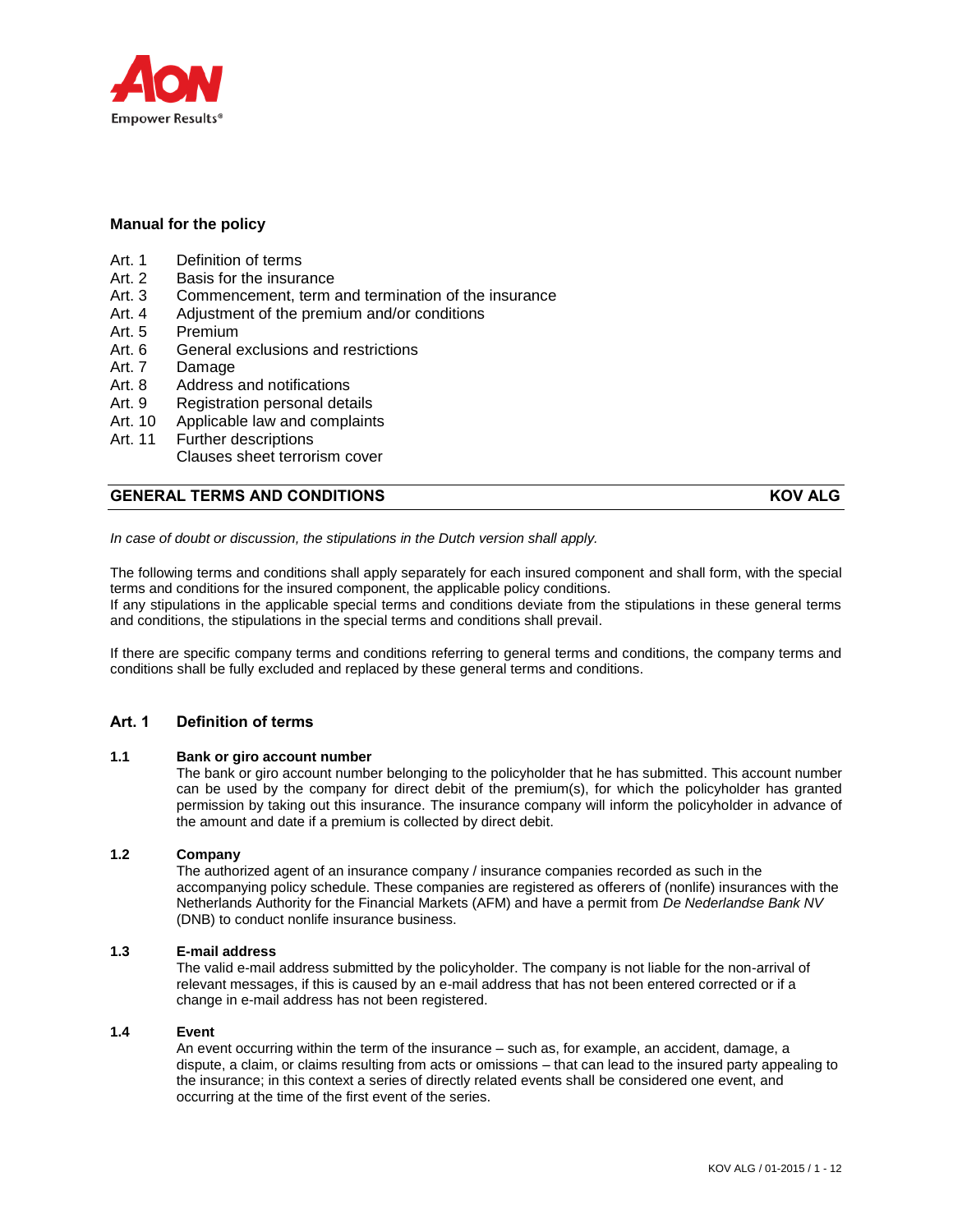

## **Manual for the policy**

- Art. 1 Definition of terms
- Art. 2 Basis for the insurance
- Art. 3 Commencement, term and termination of the insurance
- Art. 4 Adjustment of the premium and/or conditions
- Art. 5 Premium
- Art. 6 General exclusions and restrictions
- Art. 7 Damage
- Art. 8 Address and notifications
- Art. 9 Registration personal details
- Art. 10 Applicable law and complaints
- Art. 11 Further descriptions
- Clauses sheet terrorism cover

# **GENERAL TERMS AND CONDITIONS KOV ALG**

*In case of doubt or discussion, the stipulations in the Dutch version shall apply.*

The following terms and conditions shall apply separately for each insured component and shall form, with the special terms and conditions for the insured component, the applicable policy conditions. If any stipulations in the applicable special terms and conditions deviate from the stipulations in these general terms and conditions, the stipulations in the special terms and conditions shall prevail.

If there are specific company terms and conditions referring to general terms and conditions, the company terms and conditions shall be fully excluded and replaced by these general terms and conditions.

## **Art. 1 Definition of terms**

### **1.1 Bank or giro account number**

The bank or giro account number belonging to the policyholder that he has submitted. This account number can be used by the company for direct debit of the premium(s), for which the policyholder has granted permission by taking out this insurance. The insurance company will inform the policyholder in advance of the amount and date if a premium is collected by direct debit.

## **1.2 Company**

The authorized agent of an insurance company / insurance companies recorded as such in the accompanying policy schedule. These companies are registered as offerers of (nonlife) insurances with the Netherlands Authority for the Financial Markets (AFM) and have a permit from *De Nederlandse Bank NV* (DNB) to conduct nonlife insurance business.

#### **1.3 E-mail address**

The valid e-mail address submitted by the policyholder. The company is not liable for the non-arrival of relevant messages, if this is caused by an e-mail address that has not been entered corrected or if a change in e-mail address has not been registered.

#### **1.4 Event**

An event occurring within the term of the insurance – such as, for example, an accident, damage, a dispute, a claim, or claims resulting from acts or omissions – that can lead to the insured party appealing to the insurance; in this context a series of directly related events shall be considered one event, and occurring at the time of the first event of the series.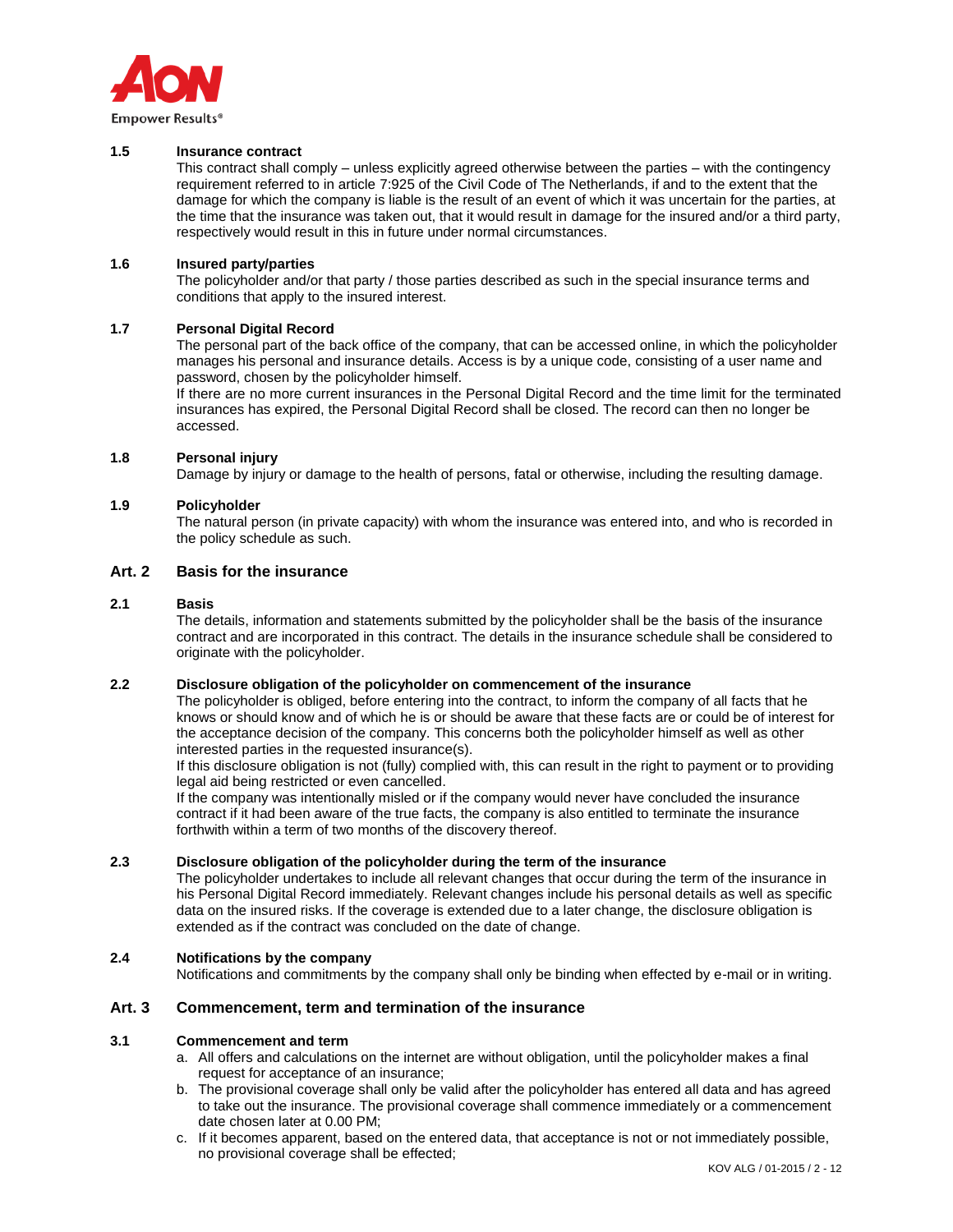

#### **1.5 Insurance contract**

This contract shall comply – unless explicitly agreed otherwise between the parties – with the contingency requirement referred to in article 7:925 of the Civil Code of The Netherlands, if and to the extent that the damage for which the company is liable is the result of an event of which it was uncertain for the parties, at the time that the insurance was taken out, that it would result in damage for the insured and/or a third party, respectively would result in this in future under normal circumstances.

### **1.6 Insured party/parties**

The policyholder and/or that party / those parties described as such in the special insurance terms and conditions that apply to the insured interest.

#### **1.7 Personal Digital Record**

The personal part of the back office of the company, that can be accessed online, in which the policyholder manages his personal and insurance details. Access is by a unique code, consisting of a user name and password, chosen by the policyholder himself.

If there are no more current insurances in the Personal Digital Record and the time limit for the terminated insurances has expired, the Personal Digital Record shall be closed. The record can then no longer be accessed.

### **1.8 Personal injury**

Damage by injury or damage to the health of persons, fatal or otherwise, including the resulting damage.

#### **1.9 Policyholder**

The natural person (in private capacity) with whom the insurance was entered into, and who is recorded in the policy schedule as such.

### **Art. 2 Basis for the insurance**

#### **2.1 Basis**

The details, information and statements submitted by the policyholder shall be the basis of the insurance contract and are incorporated in this contract. The details in the insurance schedule shall be considered to originate with the policyholder.

### **2.2 Disclosure obligation of the policyholder on commencement of the insurance**

The policyholder is obliged, before entering into the contract, to inform the company of all facts that he knows or should know and of which he is or should be aware that these facts are or could be of interest for the acceptance decision of the company. This concerns both the policyholder himself as well as other interested parties in the requested insurance(s).

If this disclosure obligation is not (fully) complied with, this can result in the right to payment or to providing legal aid being restricted or even cancelled.

If the company was intentionally misled or if the company would never have concluded the insurance contract if it had been aware of the true facts, the company is also entitled to terminate the insurance forthwith within a term of two months of the discovery thereof.

#### **2.3 Disclosure obligation of the policyholder during the term of the insurance**

The policyholder undertakes to include all relevant changes that occur during the term of the insurance in his Personal Digital Record immediately. Relevant changes include his personal details as well as specific data on the insured risks. If the coverage is extended due to a later change, the disclosure obligation is extended as if the contract was concluded on the date of change.

## **2.4 Notifications by the company**

Notifications and commitments by the company shall only be binding when effected by e-mail or in writing.

#### **Art. 3 Commencement, term and termination of the insurance**

#### **3.1 Commencement and term**

- a. All offers and calculations on the internet are without obligation, until the policyholder makes a final request for acceptance of an insurance;
- b. The provisional coverage shall only be valid after the policyholder has entered all data and has agreed to take out the insurance. The provisional coverage shall commence immediately or a commencement date chosen later at 0.00 PM;
- c. If it becomes apparent, based on the entered data, that acceptance is not or not immediately possible, no provisional coverage shall be effected;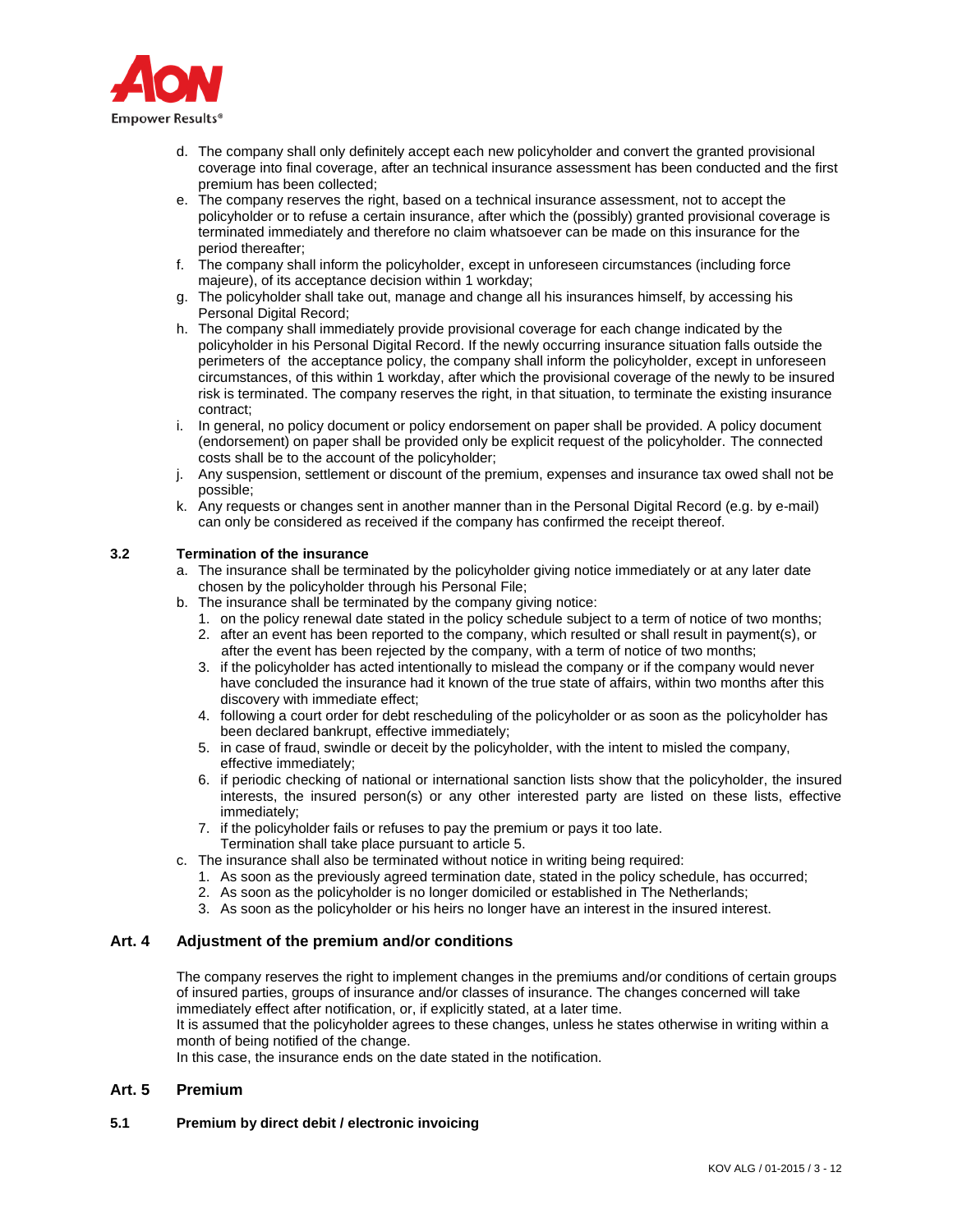

- d. The company shall only definitely accept each new policyholder and convert the granted provisional coverage into final coverage, after an technical insurance assessment has been conducted and the first premium has been collected;
- e. The company reserves the right, based on a technical insurance assessment, not to accept the policyholder or to refuse a certain insurance, after which the (possibly) granted provisional coverage is terminated immediately and therefore no claim whatsoever can be made on this insurance for the period thereafter;
- f. The company shall inform the policyholder, except in unforeseen circumstances (including force majeure), of its acceptance decision within 1 workday;
- g. The policyholder shall take out, manage and change all his insurances himself, by accessing his Personal Digital Record:
- h. The company shall immediately provide provisional coverage for each change indicated by the policyholder in his Personal Digital Record. If the newly occurring insurance situation falls outside the perimeters of the acceptance policy, the company shall inform the policyholder, except in unforeseen circumstances, of this within 1 workday, after which the provisional coverage of the newly to be insured risk is terminated. The company reserves the right, in that situation, to terminate the existing insurance contract;
- i. In general, no policy document or policy endorsement on paper shall be provided. A policy document (endorsement) on paper shall be provided only be explicit request of the policyholder. The connected costs shall be to the account of the policyholder;
- j. Any suspension, settlement or discount of the premium, expenses and insurance tax owed shall not be possible;
- k. Any requests or changes sent in another manner than in the Personal Digital Record (e.g. by e-mail) can only be considered as received if the company has confirmed the receipt thereof.

## **3.2 Termination of the insurance**

- a. The insurance shall be terminated by the policyholder giving notice immediately or at any later date chosen by the policyholder through his Personal File;
- b. The insurance shall be terminated by the company giving notice:
	- 1. on the policy renewal date stated in the policy schedule subject to a term of notice of two months;
	- 2. after an event has been reported to the company, which resulted or shall result in payment(s), or after the event has been rejected by the company, with a term of notice of two months;
	- 3. if the policyholder has acted intentionally to mislead the company or if the company would never have concluded the insurance had it known of the true state of affairs, within two months after this discovery with immediate effect;
	- 4. following a court order for debt rescheduling of the policyholder or as soon as the policyholder has been declared bankrupt, effective immediately;
	- 5. in case of fraud, swindle or deceit by the policyholder, with the intent to misled the company, effective immediately;
	- 6. if periodic checking of national or international sanction lists show that the policyholder, the insured interests, the insured person(s) or any other interested party are listed on these lists, effective immediately;
	- 7. if the policyholder fails or refuses to pay the premium or pays it too late. Termination shall take place pursuant to article 5.
- c. The insurance shall also be terminated without notice in writing being required:
	- 1. As soon as the previously agreed termination date, stated in the policy schedule, has occurred;
	- 2. As soon as the policyholder is no longer domiciled or established in The Netherlands;
	- 3. As soon as the policyholder or his heirs no longer have an interest in the insured interest.

# **Art. 4 Adjustment of the premium and/or conditions**

The company reserves the right to implement changes in the premiums and/or conditions of certain groups of insured parties, groups of insurance and/or classes of insurance. The changes concerned will take immediately effect after notification, or, if explicitly stated, at a later time.

It is assumed that the policyholder agrees to these changes, unless he states otherwise in writing within a month of being notified of the change.

In this case, the insurance ends on the date stated in the notification.

# **Art. 5 Premium**

### **5.1 Premium by direct debit / electronic invoicing**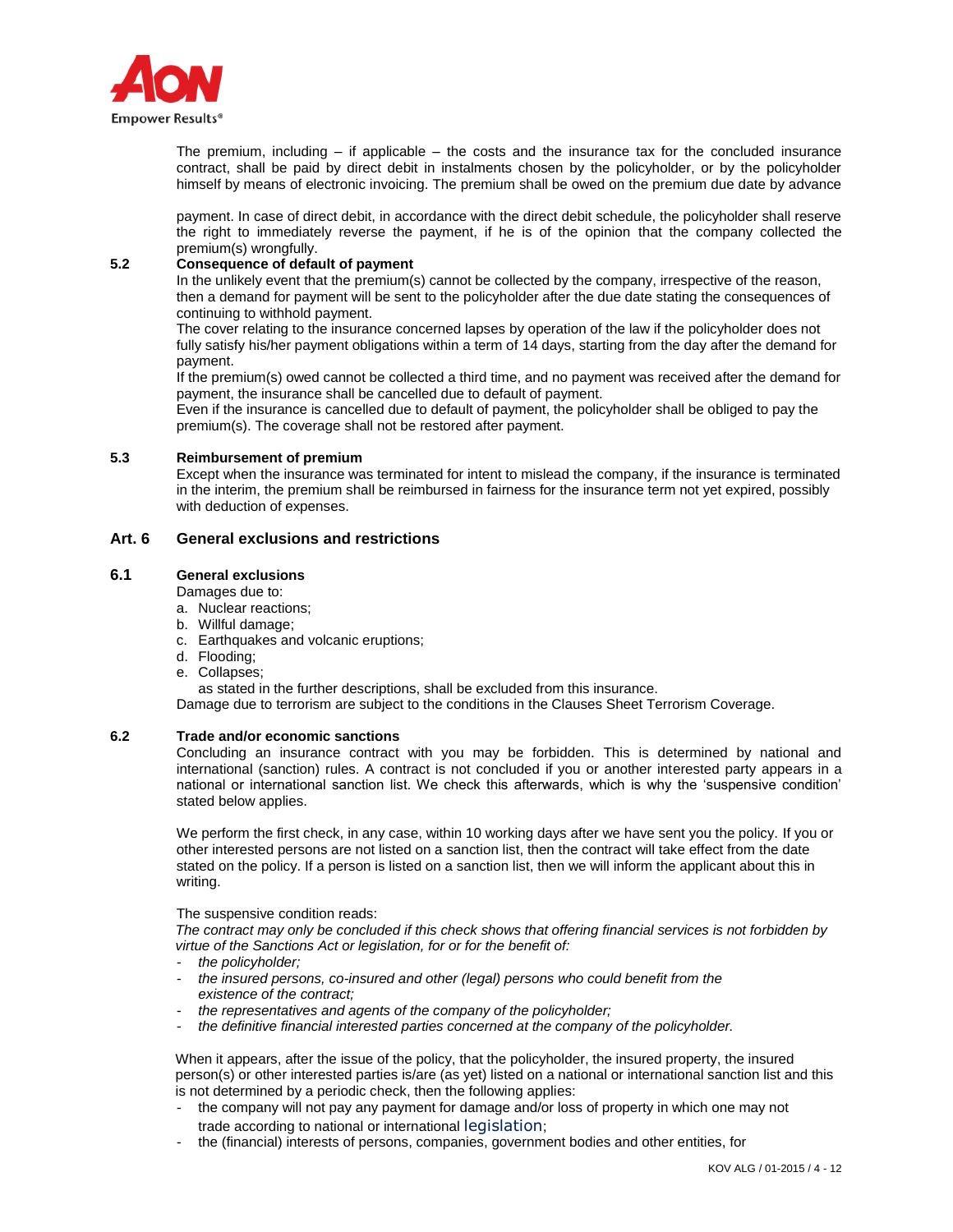

The premium, including  $-$  if applicable  $-$  the costs and the insurance tax for the concluded insurance contract, shall be paid by direct debit in instalments chosen by the policyholder, or by the policyholder himself by means of electronic invoicing. The premium shall be owed on the premium due date by advance

payment. In case of direct debit, in accordance with the direct debit schedule, the policyholder shall reserve the right to immediately reverse the payment, if he is of the opinion that the company collected the premium(s) wrongfully.

## **5.2 Consequence of default of payment**

In the unlikely event that the premium(s) cannot be collected by the company, irrespective of the reason, then a demand for payment will be sent to the policyholder after the due date stating the consequences of continuing to withhold payment.

The cover relating to the insurance concerned lapses by operation of the law if the policyholder does not fully satisfy his/her payment obligations within a term of 14 days, starting from the day after the demand for payment.

If the premium(s) owed cannot be collected a third time, and no payment was received after the demand for payment, the insurance shall be cancelled due to default of payment.

Even if the insurance is cancelled due to default of payment, the policyholder shall be obliged to pay the premium(s). The coverage shall not be restored after payment.

### **5.3 Reimbursement of premium**

Except when the insurance was terminated for intent to mislead the company, if the insurance is terminated in the interim, the premium shall be reimbursed in fairness for the insurance term not yet expired, possibly with deduction of expenses.

# **Art. 6 General exclusions and restrictions**

## **6.1 General exclusions**

#### Damages due to:

- a. Nuclear reactions;
- b. Willful damage;
- c. Earthquakes and volcanic eruptions;
- d. Flooding;
- e. Collapses;

as stated in the further descriptions, shall be excluded from this insurance.

Damage due to terrorism are subject to the conditions in the Clauses Sheet Terrorism Coverage.

## **6.2 Trade and/or economic sanctions**

Concluding an insurance contract with you may be forbidden. This is determined by national and international (sanction) rules. A contract is not concluded if you or another interested party appears in a national or international sanction list. We check this afterwards, which is why the 'suspensive condition' stated below applies.

We perform the first check, in any case, within 10 working days after we have sent you the policy. If you or other interested persons are not listed on a sanction list, then the contract will take effect from the date stated on the policy. If a person is listed on a sanction list, then we will inform the applicant about this in writing.

The suspensive condition reads:

*The contract may only be concluded if this check shows that offering financial services is not forbidden by virtue of the Sanctions Act or legislation, for or for the benefit of:*

- *the policyholder;*
- *the insured persons, co-insured and other (legal) persons who could benefit from the existence of the contract;*
- *the representatives and agents of the company of the policyholder;*
- *the definitive financial interested parties concerned at the company of the policyholder.*

When it appears, after the issue of the policy, that the policyholder, the insured property, the insured person(s) or other interested parties is/are (as yet) listed on a national or international sanction list and this is not determined by a periodic check, then the following applies:

- the company will not pay any payment for damage and/or loss of property in which one may not trade according to national or international legislation;
- the (financial) interests of persons, companies, government bodies and other entities, for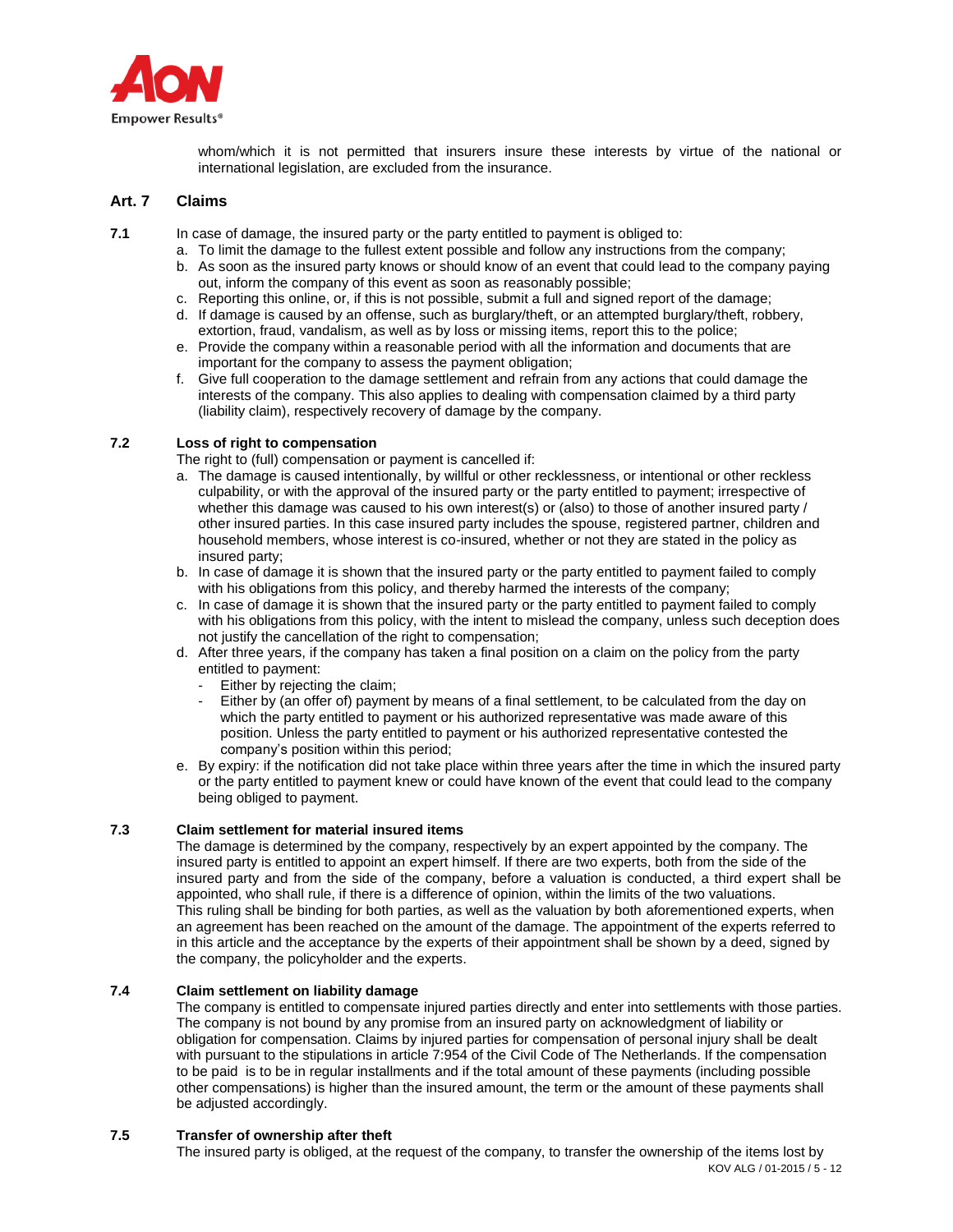

whom/which it is not permitted that insurers insure these interests by virtue of the national or international legislation, are excluded from the insurance.

# **Art. 7 Claims**

**7.1** In case of damage, the insured party or the party entitled to payment is obliged to:

- a. To limit the damage to the fullest extent possible and follow any instructions from the company;
- b. As soon as the insured party knows or should know of an event that could lead to the company paying out, inform the company of this event as soon as reasonably possible;
- c. Reporting this online, or, if this is not possible, submit a full and signed report of the damage;
- d. If damage is caused by an offense, such as burglary/theft, or an attempted burglary/theft, robbery, extortion, fraud, vandalism, as well as by loss or missing items, report this to the police;
- e. Provide the company within a reasonable period with all the information and documents that are important for the company to assess the payment obligation;
- f. Give full cooperation to the damage settlement and refrain from any actions that could damage the interests of the company. This also applies to dealing with compensation claimed by a third party (liability claim), respectively recovery of damage by the company.

## **7.2 Loss of right to compensation**

The right to (full) compensation or payment is cancelled if:

- a. The damage is caused intentionally, by willful or other recklessness, or intentional or other reckless culpability, or with the approval of the insured party or the party entitled to payment; irrespective of whether this damage was caused to his own interest(s) or (also) to those of another insured party / other insured parties. In this case insured party includes the spouse, registered partner, children and household members, whose interest is co-insured, whether or not they are stated in the policy as insured party;
- b. In case of damage it is shown that the insured party or the party entitled to payment failed to comply with his obligations from this policy, and thereby harmed the interests of the company;
- c. In case of damage it is shown that the insured party or the party entitled to payment failed to comply with his obligations from this policy, with the intent to mislead the company, unless such deception does not justify the cancellation of the right to compensation:
- d. After three years, if the company has taken a final position on a claim on the policy from the party entitled to payment:
	- Either by rejecting the claim;
	- Either by (an offer of) payment by means of a final settlement, to be calculated from the day on which the party entitled to payment or his authorized representative was made aware of this position. Unless the party entitled to payment or his authorized representative contested the company's position within this period;
- e. By expiry: if the notification did not take place within three years after the time in which the insured party or the party entitled to payment knew or could have known of the event that could lead to the company being obliged to payment.

## **7.3 Claim settlement for material insured items**

The damage is determined by the company, respectively by an expert appointed by the company. The insured party is entitled to appoint an expert himself. If there are two experts, both from the side of the insured party and from the side of the company, before a valuation is conducted, a third expert shall be appointed, who shall rule, if there is a difference of opinion, within the limits of the two valuations. This ruling shall be binding for both parties, as well as the valuation by both aforementioned experts, when an agreement has been reached on the amount of the damage. The appointment of the experts referred to in this article and the acceptance by the experts of their appointment shall be shown by a deed, signed by the company, the policyholder and the experts.

### **7.4 Claim settlement on liability damage**

The company is entitled to compensate injured parties directly and enter into settlements with those parties. The company is not bound by any promise from an insured party on acknowledgment of liability or obligation for compensation. Claims by injured parties for compensation of personal injury shall be dealt with pursuant to the stipulations in article 7:954 of the Civil Code of The Netherlands. If the compensation to be paid is to be in regular installments and if the total amount of these payments (including possible other compensations) is higher than the insured amount, the term or the amount of these payments shall be adjusted accordingly.

# **7.5 Transfer of ownership after theft**

KOV ALG / 01-2015 / 5 - 12 The insured party is obliged, at the request of the company, to transfer the ownership of the items lost by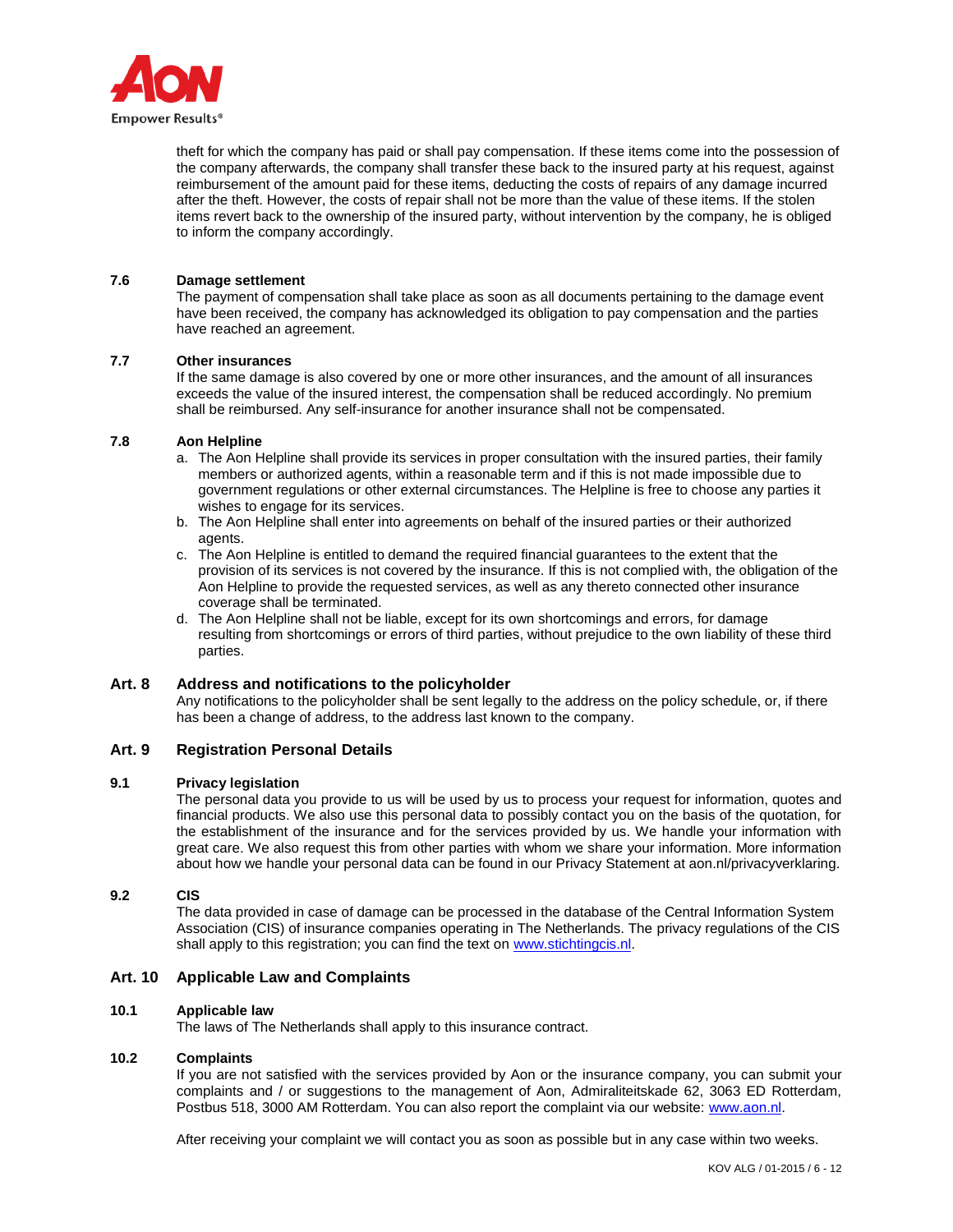

theft for which the company has paid or shall pay compensation. If these items come into the possession of the company afterwards, the company shall transfer these back to the insured party at his request, against reimbursement of the amount paid for these items, deducting the costs of repairs of any damage incurred after the theft. However, the costs of repair shall not be more than the value of these items. If the stolen items revert back to the ownership of the insured party, without intervention by the company, he is obliged to inform the company accordingly.

## **7.6 Damage settlement**

The payment of compensation shall take place as soon as all documents pertaining to the damage event have been received, the company has acknowledged its obligation to pay compensation and the parties have reached an agreement.

# **7.7 Other insurances**

If the same damage is also covered by one or more other insurances, and the amount of all insurances exceeds the value of the insured interest, the compensation shall be reduced accordingly. No premium shall be reimbursed. Any self-insurance for another insurance shall not be compensated.

### **7.8 Aon Helpline**

- a. The Aon Helpline shall provide its services in proper consultation with the insured parties, their family members or authorized agents, within a reasonable term and if this is not made impossible due to government regulations or other external circumstances. The Helpline is free to choose any parties it wishes to engage for its services.
- b. The Aon Helpline shall enter into agreements on behalf of the insured parties or their authorized agents.
- c. The Aon Helpline is entitled to demand the required financial guarantees to the extent that the provision of its services is not covered by the insurance. If this is not complied with, the obligation of the Aon Helpline to provide the requested services, as well as any thereto connected other insurance coverage shall be terminated.
- d. The Aon Helpline shall not be liable, except for its own shortcomings and errors, for damage resulting from shortcomings or errors of third parties, without prejudice to the own liability of these third parties.

# **Art. 8 Address and notifications to the policyholder**

Any notifications to the policyholder shall be sent legally to the address on the policy schedule, or, if there has been a change of address, to the address last known to the company.

# **Art. 9 Registration Personal Details**

### **9.1 Privacy legislation**

The personal data you provide to us will be used by us to process your request for information, quotes and financial products. We also use this personal data to possibly contact you on the basis of the quotation, for the establishment of the insurance and for the services provided by us. We handle your information with great care. We also request this from other parties with whom we share your information. More information about how we handle your personal data can be found in our Privacy Statement at aon.nl/privacyverklaring.

### **9.2 CIS**

The data provided in case of damage can be processed in the database of the Central Information System Association (CIS) of insurance companies operating in The Netherlands. The privacy regulations of the CIS shall apply to this registration; you can find the text on [www.stichtingcis.nl.](http://www.stichtingcis.nl/)

### **Art. 10 Applicable Law and Complaints**

### **10.1 Applicable law**

The laws of The Netherlands shall apply to this insurance contract.

### **10.2 Complaints**

If you are not satisfied with the services provided by Aon or the insurance company, you can submit your complaints and / or suggestions to the management of Aon, Admiraliteitskade 62, 3063 ED Rotterdam, Postbus 518, 3000 AM Rotterdam. You can also report the complaint via our website: [www.aon.nl.](http://www.aon.nl/)

After receiving your complaint we will contact you as soon as possible but in any case within two weeks.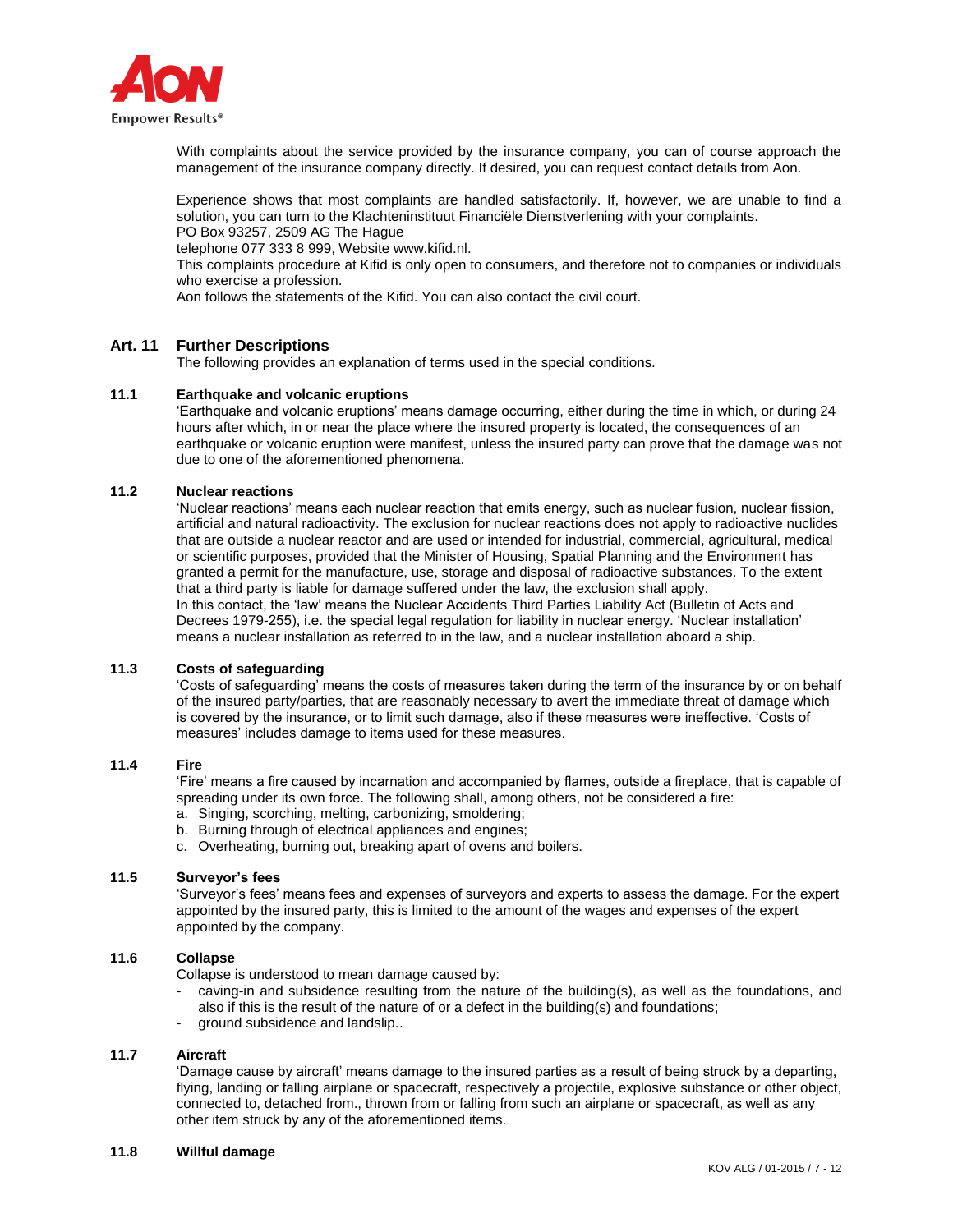

With complaints about the service provided by the insurance company, you can of course approach the management of the insurance company directly. If desired, you can request contact details from Aon.

Experience shows that most complaints are handled satisfactorily. If, however, we are unable to find a solution, you can turn to the Klachteninstituut Financiële Dienstverlening with your complaints. PO Box 93257, 2509 AG The Hague

telephone 077 333 8 999, Website www.kifid.nl.

This complaints procedure at Kifid is only open to consumers, and therefore not to companies or individuals who exercise a profession.

Aon follows the statements of the Kifid. You can also contact the civil court.

## **Art. 11 Further Descriptions**

The following provides an explanation of terms used in the special conditions.

#### **11.1 Earthquake and volcanic eruptions**

'Earthquake and volcanic eruptions' means damage occurring, either during the time in which, or during 24 hours after which, in or near the place where the insured property is located, the consequences of an earthquake or volcanic eruption were manifest, unless the insured party can prove that the damage was not due to one of the aforementioned phenomena.

### **11.2 Nuclear reactions**

'Nuclear reactions' means each nuclear reaction that emits energy, such as nuclear fusion, nuclear fission, artificial and natural radioactivity. The exclusion for nuclear reactions does not apply to radioactive nuclides that are outside a nuclear reactor and are used or intended for industrial, commercial, agricultural, medical or scientific purposes, provided that the Minister of Housing, Spatial Planning and the Environment has granted a permit for the manufacture, use, storage and disposal of radioactive substances. To the extent that a third party is liable for damage suffered under the law, the exclusion shall apply. In this contact, the 'law' means the Nuclear Accidents Third Parties Liability Act (Bulletin of Acts and Decrees 1979-255), i.e. the special legal regulation for liability in nuclear energy. 'Nuclear installation' means a nuclear installation as referred to in the law, and a nuclear installation aboard a ship.

### **11.3 Costs of safeguarding**

'Costs of safeguarding' means the costs of measures taken during the term of the insurance by or on behalf of the insured party/parties, that are reasonably necessary to avert the immediate threat of damage which is covered by the insurance, or to limit such damage, also if these measures were ineffective. 'Costs of measures' includes damage to items used for these measures.

### **11.4 Fire**

'Fire' means a fire caused by incarnation and accompanied by flames, outside a fireplace, that is capable of spreading under its own force. The following shall, among others, not be considered a fire:

- a. Singing, scorching, melting, carbonizing, smoldering;
- b. Burning through of electrical appliances and engines;
- c. Overheating, burning out, breaking apart of ovens and boilers.

#### **11.5 Surveyor's fees**

'Surveyor's fees' means fees and expenses of surveyors and experts to assess the damage. For the expert appointed by the insured party, this is limited to the amount of the wages and expenses of the expert appointed by the company.

# **11.6 Collapse**

Collapse is understood to mean damage caused by:

- caving-in and subsidence resulting from the nature of the building(s), as well as the foundations, and also if this is the result of the nature of or a defect in the building(s) and foundations;
- ground subsidence and landslip..

### **11.7 Aircraft**

'Damage cause by aircraft' means damage to the insured parties as a result of being struck by a departing, flying, landing or falling airplane or spacecraft, respectively a projectile, explosive substance or other object, connected to, detached from., thrown from or falling from such an airplane or spacecraft, as well as any other item struck by any of the aforementioned items.

#### **11.8 Willful damage**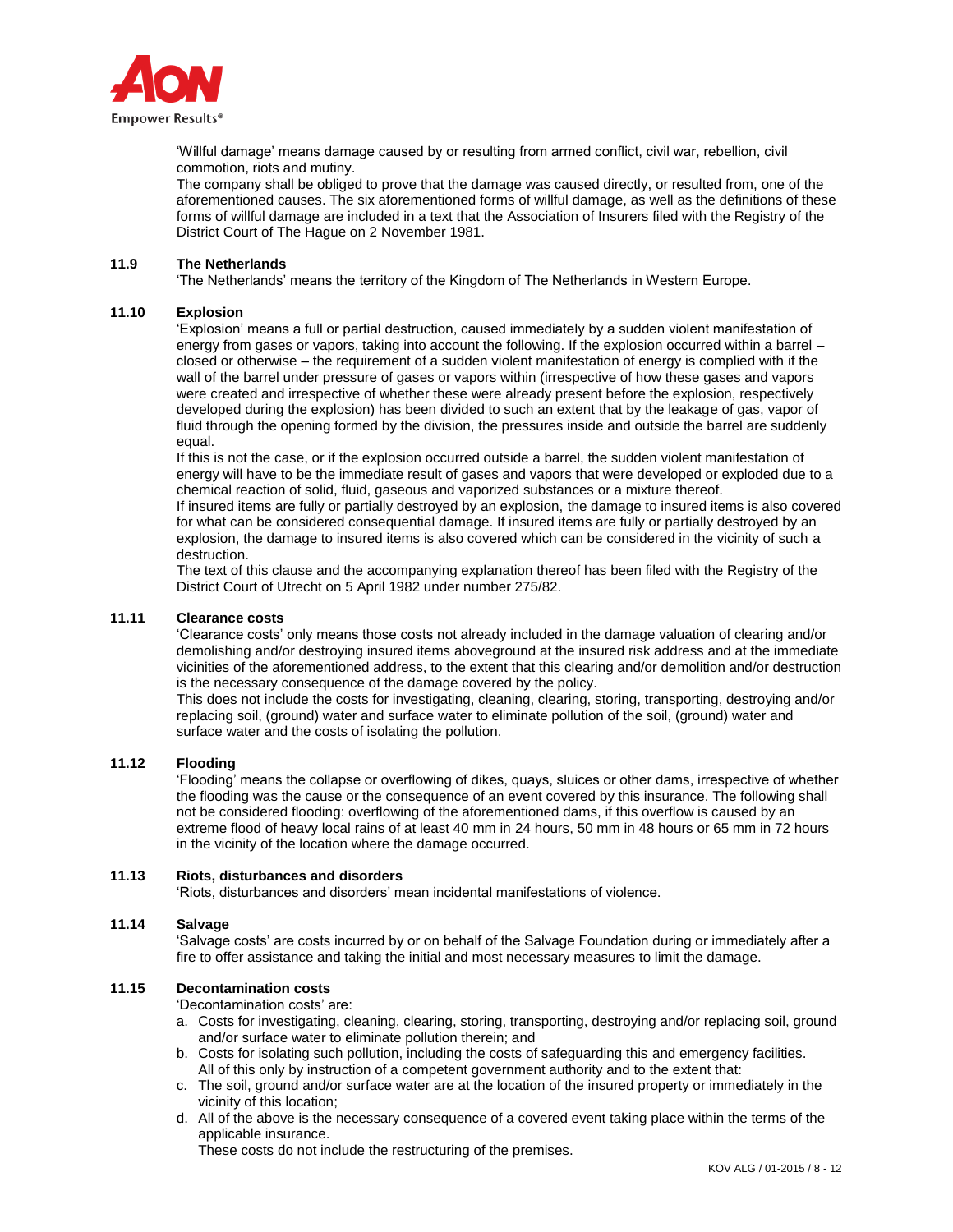

'Willful damage' means damage caused by or resulting from armed conflict, civil war, rebellion, civil commotion, riots and mutiny.

The company shall be obliged to prove that the damage was caused directly, or resulted from, one of the aforementioned causes. The six aforementioned forms of willful damage, as well as the definitions of these forms of willful damage are included in a text that the Association of Insurers filed with the Registry of the District Court of The Hague on 2 November 1981.

#### **11.9 The Netherlands**

'The Netherlands' means the territory of the Kingdom of The Netherlands in Western Europe.

#### **11.10 Explosion**

'Explosion' means a full or partial destruction, caused immediately by a sudden violent manifestation of energy from gases or vapors, taking into account the following. If the explosion occurred within a barrel – closed or otherwise – the requirement of a sudden violent manifestation of energy is complied with if the wall of the barrel under pressure of gases or vapors within (irrespective of how these gases and vapors were created and irrespective of whether these were already present before the explosion, respectively developed during the explosion) has been divided to such an extent that by the leakage of gas, vapor of fluid through the opening formed by the division, the pressures inside and outside the barrel are suddenly equal.

If this is not the case, or if the explosion occurred outside a barrel, the sudden violent manifestation of energy will have to be the immediate result of gases and vapors that were developed or exploded due to a chemical reaction of solid, fluid, gaseous and vaporized substances or a mixture thereof.

If insured items are fully or partially destroyed by an explosion, the damage to insured items is also covered for what can be considered consequential damage. If insured items are fully or partially destroyed by an explosion, the damage to insured items is also covered which can be considered in the vicinity of such a destruction.

The text of this clause and the accompanying explanation thereof has been filed with the Registry of the District Court of Utrecht on 5 April 1982 under number 275/82.

#### **11.11 Clearance costs**

'Clearance costs' only means those costs not already included in the damage valuation of clearing and/or demolishing and/or destroying insured items aboveground at the insured risk address and at the immediate vicinities of the aforementioned address, to the extent that this clearing and/or demolition and/or destruction is the necessary consequence of the damage covered by the policy.

This does not include the costs for investigating, cleaning, clearing, storing, transporting, destroying and/or replacing soil, (ground) water and surface water to eliminate pollution of the soil, (ground) water and surface water and the costs of isolating the pollution.

### **11.12 Flooding**

'Flooding' means the collapse or overflowing of dikes, quays, sluices or other dams, irrespective of whether the flooding was the cause or the consequence of an event covered by this insurance. The following shall not be considered flooding: overflowing of the aforementioned dams, if this overflow is caused by an extreme flood of heavy local rains of at least 40 mm in 24 hours, 50 mm in 48 hours or 65 mm in 72 hours in the vicinity of the location where the damage occurred.

#### **11.13 Riots, disturbances and disorders**

'Riots, disturbances and disorders' mean incidental manifestations of violence.

#### **11.14 Salvage**

'Salvage costs' are costs incurred by or on behalf of the Salvage Foundation during or immediately after a fire to offer assistance and taking the initial and most necessary measures to limit the damage.

### **11.15 Decontamination costs**

'Decontamination costs' are:

- a. Costs for investigating, cleaning, clearing, storing, transporting, destroying and/or replacing soil, ground and/or surface water to eliminate pollution therein; and
- b. Costs for isolating such pollution, including the costs of safeguarding this and emergency facilities. All of this only by instruction of a competent government authority and to the extent that:
- c. The soil, ground and/or surface water are at the location of the insured property or immediately in the vicinity of this location;
- d. All of the above is the necessary consequence of a covered event taking place within the terms of the applicable insurance.

These costs do not include the restructuring of the premises.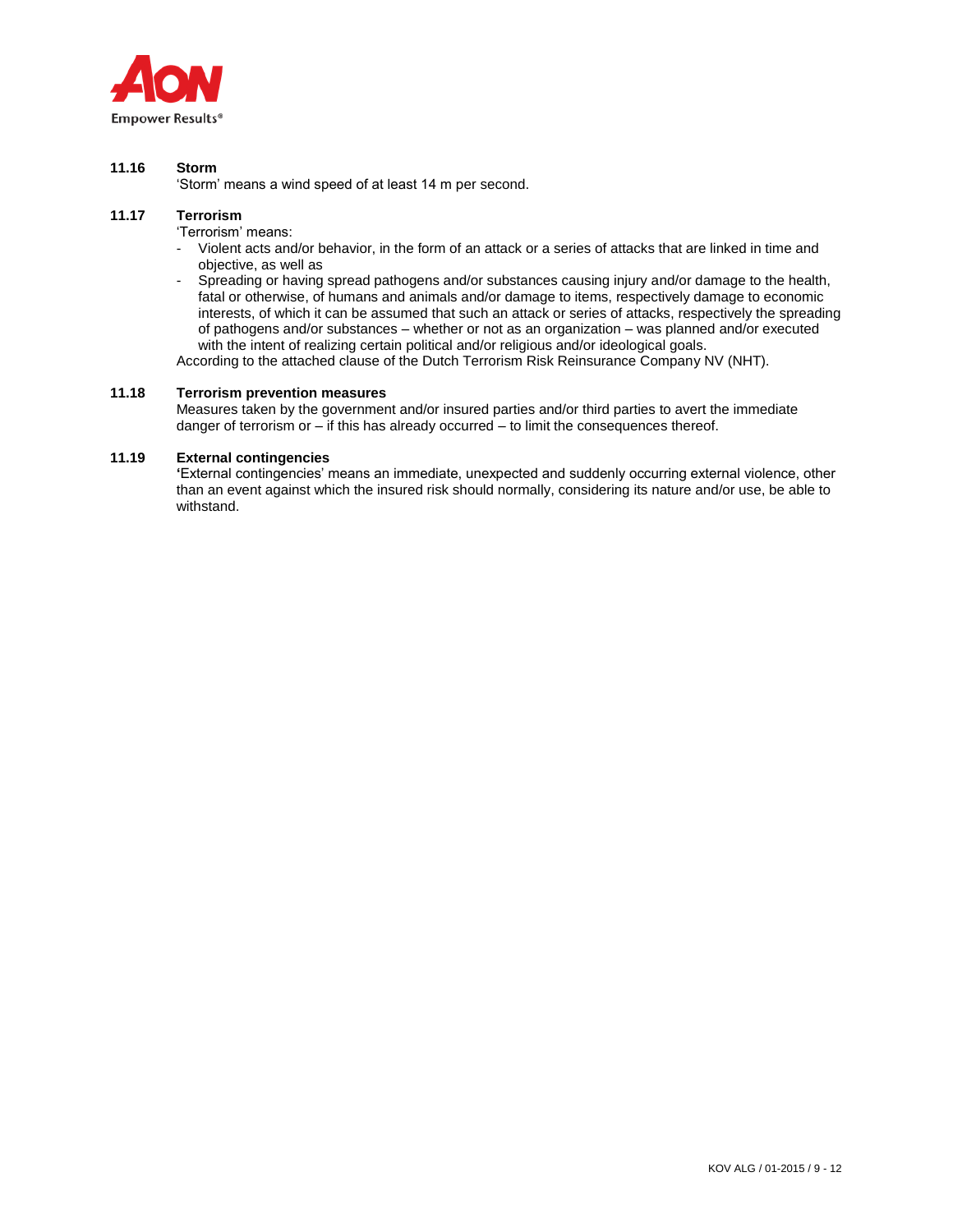

## **11.16 Storm**

'Storm' means a wind speed of at least 14 m per second.

# **11.17 Terrorism**

'Terrorism' means:

- Violent acts and/or behavior, in the form of an attack or a series of attacks that are linked in time and objective, as well as
- Spreading or having spread pathogens and/or substances causing injury and/or damage to the health, fatal or otherwise, of humans and animals and/or damage to items, respectively damage to economic interests, of which it can be assumed that such an attack or series of attacks, respectively the spreading of pathogens and/or substances – whether or not as an organization – was planned and/or executed with the intent of realizing certain political and/or religious and/or ideological goals.

According to the attached clause of the Dutch Terrorism Risk Reinsurance Company NV (NHT).

## **11.18 Terrorism prevention measures**

Measures taken by the government and/or insured parties and/or third parties to avert the immediate danger of terrorism or – if this has already occurred – to limit the consequences thereof.

## **11.19 External contingencies**

**'**External contingencies' means an immediate, unexpected and suddenly occurring external violence, other than an event against which the insured risk should normally, considering its nature and/or use, be able to withstand.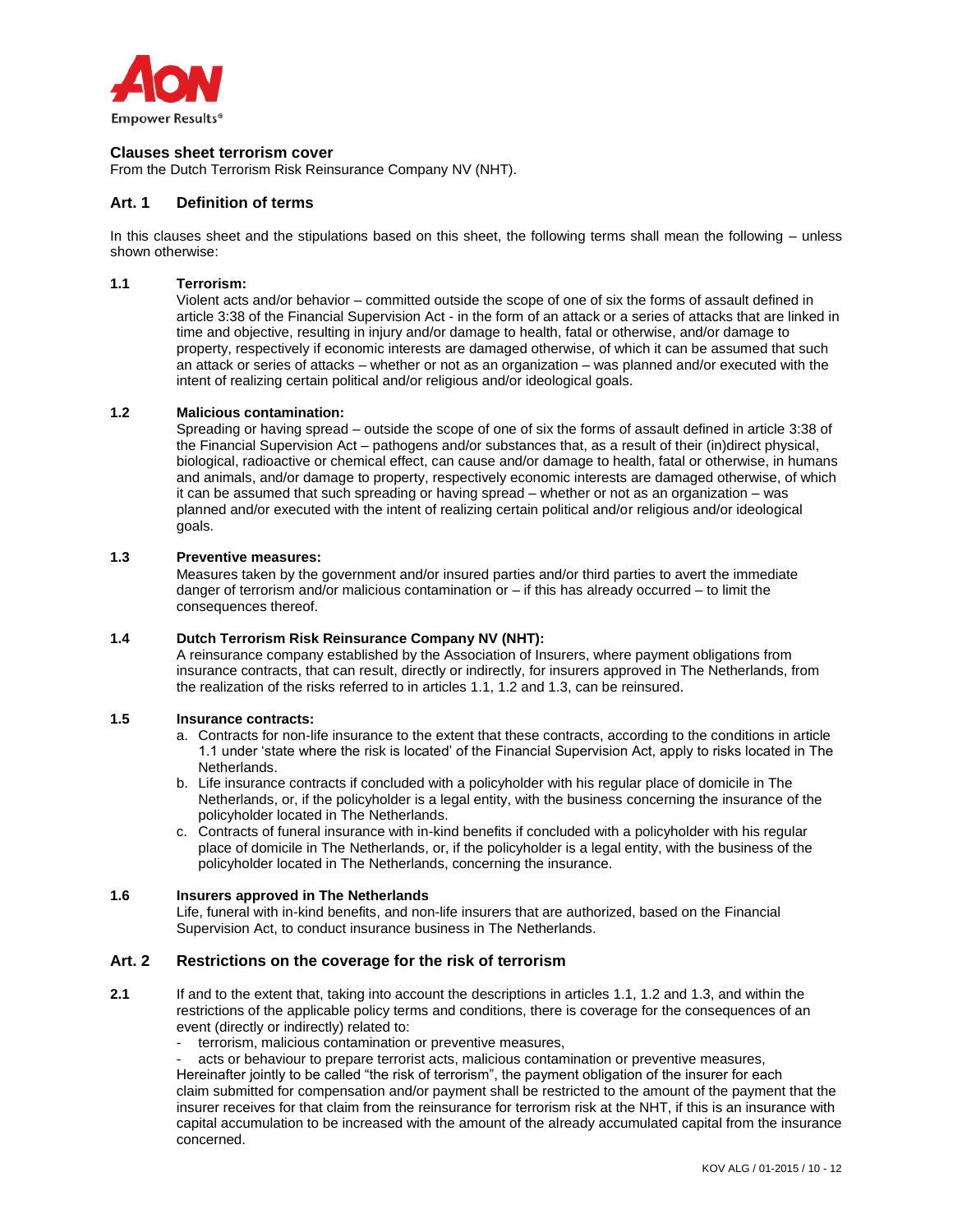

### **Clauses sheet terrorism cover**

From the Dutch Terrorism Risk Reinsurance Company NV (NHT).

#### **Art. 1 Definition of terms**

In this clauses sheet and the stipulations based on this sheet, the following terms shall mean the following – unless shown otherwise:

### **1.1 Terrorism:**

Violent acts and/or behavior – committed outside the scope of one of six the forms of assault defined in article 3:38 of the Financial Supervision Act - in the form of an attack or a series of attacks that are linked in time and objective, resulting in injury and/or damage to health, fatal or otherwise, and/or damage to property, respectively if economic interests are damaged otherwise, of which it can be assumed that such an attack or series of attacks – whether or not as an organization – was planned and/or executed with the intent of realizing certain political and/or religious and/or ideological goals.

## **1.2 Malicious contamination:**

Spreading or having spread – outside the scope of one of six the forms of assault defined in article 3:38 of the Financial Supervision Act – pathogens and/or substances that, as a result of their (in)direct physical, biological, radioactive or chemical effect, can cause and/or damage to health, fatal or otherwise, in humans and animals, and/or damage to property, respectively economic interests are damaged otherwise, of which it can be assumed that such spreading or having spread – whether or not as an organization – was planned and/or executed with the intent of realizing certain political and/or religious and/or ideological goals.

#### **1.3 Preventive measures:**

Measures taken by the government and/or insured parties and/or third parties to avert the immediate danger of terrorism and/or malicious contamination or – if this has already occurred – to limit the consequences thereof.

### **1.4 Dutch Terrorism Risk Reinsurance Company NV (NHT):**

A reinsurance company established by the Association of Insurers, where payment obligations from insurance contracts, that can result, directly or indirectly, for insurers approved in The Netherlands, from the realization of the risks referred to in articles 1.1, 1.2 and 1.3, can be reinsured.

#### **1.5 Insurance contracts:**

- a. Contracts for non-life insurance to the extent that these contracts, according to the conditions in article 1.1 under 'state where the risk is located' of the Financial Supervision Act, apply to risks located in The Netherlands.
- b. Life insurance contracts if concluded with a policyholder with his regular place of domicile in The Netherlands, or, if the policyholder is a legal entity, with the business concerning the insurance of the policyholder located in The Netherlands.
- c. Contracts of funeral insurance with in-kind benefits if concluded with a policyholder with his regular place of domicile in The Netherlands, or, if the policyholder is a legal entity, with the business of the policyholder located in The Netherlands, concerning the insurance.

#### **1.6 Insurers approved in The Netherlands**

Life, funeral with in-kind benefits, and non-life insurers that are authorized, based on the Financial Supervision Act, to conduct insurance business in The Netherlands.

# **Art. 2 Restrictions on the coverage for the risk of terrorism**

- **2.1** If and to the extent that, taking into account the descriptions in articles 1.1, 1.2 and 1.3, and within the restrictions of the applicable policy terms and conditions, there is coverage for the consequences of an event (directly or indirectly) related to:
	- terrorism, malicious contamination or preventive measures,

acts or behaviour to prepare terrorist acts, malicious contamination or preventive measures,

Hereinafter jointly to be called "the risk of terrorism", the payment obligation of the insurer for each claim submitted for compensation and/or payment shall be restricted to the amount of the payment that the insurer receives for that claim from the reinsurance for terrorism risk at the NHT, if this is an insurance with capital accumulation to be increased with the amount of the already accumulated capital from the insurance concerned.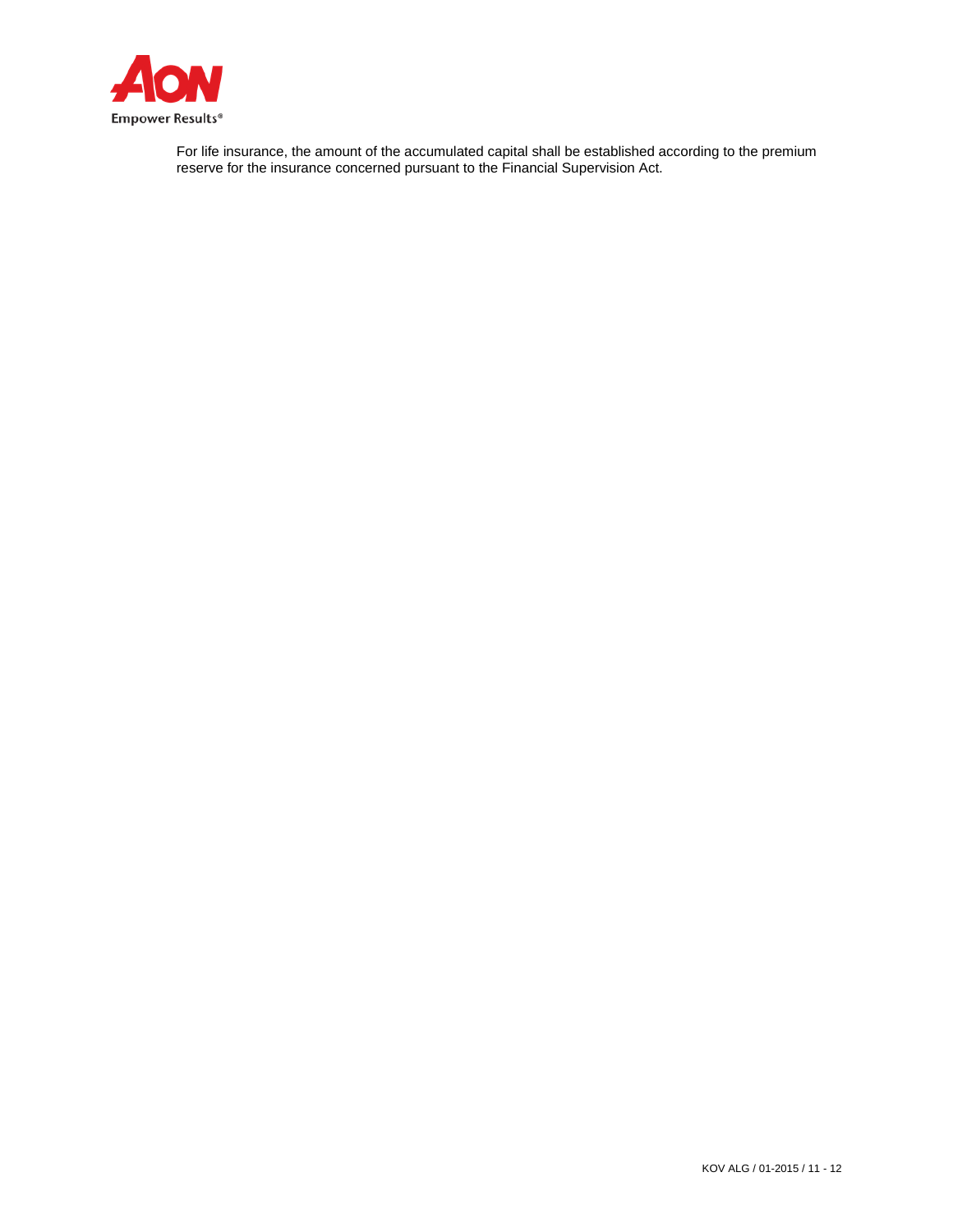

For life insurance, the amount of the accumulated capital shall be established according to the premium reserve for the insurance concerned pursuant to the Financial Supervision Act.